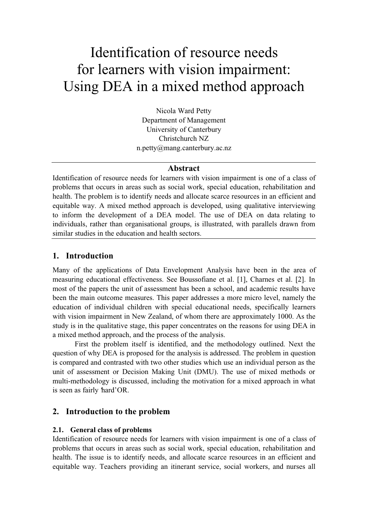# Identification of resource needs for learners with vision impairment: Using DEA in a mixed method approach

Nicola Ward Petty Department of Management University of Canterbury Christchurch NZ n.petty@mang.canterbury.ac.nz

#### Abstract

Identification of resource needs for learners with vision impairment is one of a class of problems that occurs in areas such as social work, special education, rehabilitation and health. The problem is to identify needs and allocate scarce resources in an efficient and equitable way. A mixed method approach is developed, using qualitative interviewing to inform the development of a DEA model. The use of DEA on data relating to individuals, rather than organisational groups, is illustrated, with parallels drawn from similar studies in the education and health sectors.

# 1. Introduction

Many of the applications of Data Envelopment Analysis have been in the area of measuring educational effectiveness. See Boussofiane et al. [1], Charnes et al. [2]. In most of the papers the unit of assessment has been a school, and academic results have been the main outcome measures. This paper addresses a more micro level, namely the education of individual children with special educational needs, specifically learners with vision impairment in New Zealand, of whom there are approximately 1000. As the study is in the qualitative stage, this paper concentrates on the reasons for using DEA in a mixed method approach, and the process of the analysis.

First the problem itself is identified, and the methodology outlined. Next the question of why DEA is proposed for the analysis is addressed. The problem in question is compared and contrasted with two other studies which use an individual person as the unit of assessment or Decision Making Unit (DMU). The use of mixed methods or multi-methodology is discussed, including the motivation for a mixed approach in what is seen as fairly hard'OR.

#### 2. Introduction to the problem

#### 2.1. General class of problems

Identification of resource needs for learners with vision impairment is one of a class of problems that occurs in areas such as social work, special education, rehabilitation and health. The issue is to identify needs, and allocate scarce resources in an efficient and equitable way. Teachers providing an itinerant service, social workers, and nurses all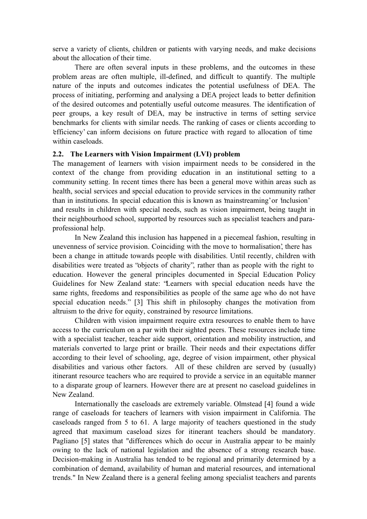serve a variety of clients, children or patients with varying needs, and make decisions about the allocation of their time.

There are often several inputs in these problems, and the outcomes in these problem areas are often multiple, ill-defined, and difficult to quantify. The multiple nature of the inputs and outcomes indicates the potential usefulness of DEA. The process of initiating, performing and analysing a DEA project leads to better definition of the desired outcomes and potentially useful outcome measures. The identification of peer groups, a key result of DEA, may be instructive in terms of setting service benchmarks for clients with similar needs. The ranking of cases or clients according to 'efficiency' can inform decisions on future practice with regard to allocation of time within caseloads.

#### 2.2. The Learners with Vision Impairment (LVI) problem

The management of learners with vision impairment needs to be considered in the context of the change from providing education in an institutional setting to a community setting. In recent times there has been a general move within areas such as health, social services and special education to provide services in the community rather than in institutions. In special education this is known as 'mainstreaming' or 'inclusion' and results in children with special needs, such as vision impairment, being taught in their neighbourhood school, supported by resources such as specialist teachers and paraprofessional help.

In New Zealand this inclusion has happened in a piecemeal fashion, resulting in unevenness of service provision. Coinciding with the move to 'normalisation', there has been a change in attitude towards people with disabilities. Until recently, children with disabilities were treated as "objects of charity", rather than as people with the right to education. However the general principles documented in Special Education Policy Guidelines for New Zealand state: "Learners with special education needs have the same rights, freedoms and responsibilities as people of the same age who do not have special education needs." [3] This shift in philosophy changes the motivation from altruism to the drive for equity, constrained by resource limitations.

Children with vision impairment require extra resources to enable them to have access to the curriculum on a par with their sighted peers. These resources include time with a specialist teacher, teacher aide support, orientation and mobility instruction, and materials converted to large print or braille. Their needs and their expectations differ according to their level of schooling, age, degree of vision impairment, other physical disabilities and various other factors. All of these children are served by (usually) itinerant resource teachers who are required to provide a service in an equitable manner to a disparate group of learners. However there are at present no caseload guidelines in New Zealand.

Internationally the caseloads are extremely variable. Olmstead [4] found a wide range of caseloads for teachers of learners with vision impairment in California. The caseloads ranged from 5 to 61. A large majority of teachers questioned in the study agreed that maximum caseload sizes for itinerant teachers should be mandatory. Pagliano [5] states that "differences which do occur in Australia appear to be mainly owing to the lack of national legislation and the absence of a strong research base. Decision-making in Australia has tended to be regional and primarily determined by a combination of demand, availability of human and material resources, and international trends." In New Zealand there is a general feeling among specialist teachers and parents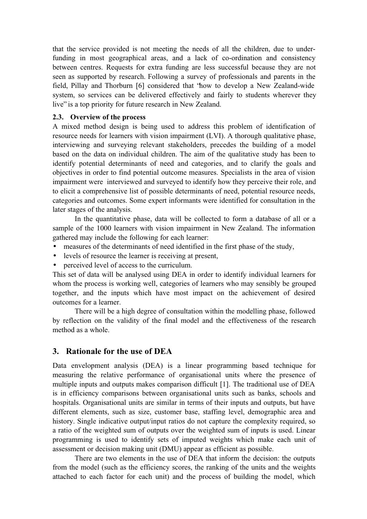that the service provided is not meeting the needs of all the children, due to underfunding in most geographical areas, and a lack of co-ordination and consistency between centres. Requests for extra funding are less successful because they are not seen as supported by research. Following a survey of professionals and parents in the field, Pillay and Thorburn [6] considered that "how to develop a New Zealand-wide system, so services can be delivered effectively and fairly to students wherever they live" is a top priority for future research in New Zealand.

#### 2.3. Overview of the process

A mixed method design is being used to address this problem of identification of resource needs for learners with vision impairment (LVI). A thorough qualitative phase, interviewing and surveying relevant stakeholders, precedes the building of a model based on the data on individual children. The aim of the qualitative study has been to identify potential determinants of need and categories, and to clarify the goals and objectives in order to find potential outcome measures. Specialists in the area of vision impairment were interviewed and surveyed to identify how they perceive their role, and to elicit a comprehensive list of possible determinants of need, potential resource needs, categories and outcomes. Some expert informants were identified for consultation in the later stages of the analysis.

In the quantitative phase, data will be collected to form a database of all or a sample of the 1000 learners with vision impairment in New Zealand. The information gathered may include the following for each learner:

- measures of the determinants of need identified in the first phase of the study,
- levels of resource the learner is receiving at present,
- perceived level of access to the curriculum.

This set of data will be analysed using DEA in order to identify individual learners for whom the process is working well, categories of learners who may sensibly be grouped together, and the inputs which have most impact on the achievement of desired outcomes for a learner.

There will be a high degree of consultation within the modelling phase, followed by reflection on the validity of the final model and the effectiveness of the research method as a whole.

# 3. Rationale for the use of DEA

Data envelopment analysis (DEA) is a linear programming based technique for measuring the relative performance of organisational units where the presence of multiple inputs and outputs makes comparison difficult [1]. The traditional use of DEA is in efficiency comparisons between organisational units such as banks, schools and hospitals. Organisational units are similar in terms of their inputs and outputs, but have different elements, such as size, customer base, staffing level, demographic area and history. Single indicative output/input ratios do not capture the complexity required, so a ratio of the weighted sum of outputs over the weighted sum of inputs is used. Linear programming is used to identify sets of imputed weights which make each unit of assessment or decision making unit (DMU) appear as efficient as possible.

There are two elements in the use of DEA that inform the decision: the outputs from the model (such as the efficiency scores, the ranking of the units and the weights attached to each factor for each unit) and the process of building the model, which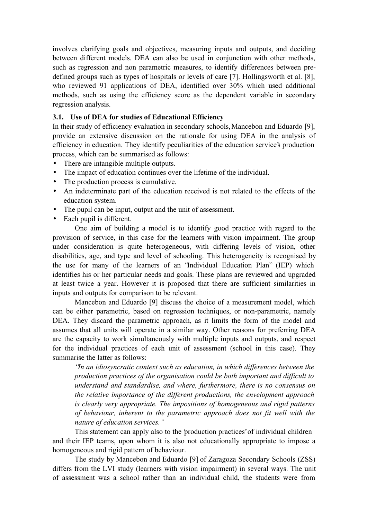involves clarifying goals and objectives, measuring inputs and outputs, and deciding between different models. DEA can also be used in conjunction with other methods, such as regression and non parametric measures, to identify differences between predefined groups such as types of hospitals or levels of care [7]. Hollingsworth et al. [8], who reviewed 91 applications of DEA, identified over 30% which used additional methods, such as using the efficiency score as the dependent variable in secondary regression analysis.

### 3.1. Use of DEA for studies of Educational Efficiency

In their study of efficiency evaluation in secondary schools, Mancebon and Eduardo [9], provide an extensive discussion on the rationale for using DEA in the analysis of efficiency in education. They identify peculiarities of the education service's production process, which can be summarised as follows:

- There are intangible multiple outputs.
- The impact of education continues over the lifetime of the individual.
- The production process is cumulative.
- An indeterminate part of the education received is not related to the effects of the education system.
- The pupil can be input, output and the unit of assessment.
- Each pupil is different.

One aim of building a model is to identify good practice with regard to the provision of service, in this case for the learners with vision impairment. The group under consideration is quite heterogeneous, with differing levels of vision, other disabilities, age, and type and level of schooling. This heterogeneity is recognised by the use for many of the learners of an "Individual Education Plan" (IEP) which identifies his or her particular needs and goals. These plans are reviewed and upgraded at least twice a year. However it is proposed that there are sufficient similarities in inputs and outputs for comparison to be relevant.

Mancebon and Eduardo [9] discuss the choice of a measurement model, which can be either parametric, based on regression techniques, or non-parametric, namely DEA. They discard the parametric approach, as it limits the form of the model and assumes that all units will operate in a similar way. Other reasons for preferring DEA are the capacity to work simultaneously with multiple inputs and outputs, and respect for the individual practices of each unit of assessment (school in this case). They summarise the latter as follows:

"In an idiosyncratic context such as education, in which differences between the production practices of the organisation could be both important and difficult to understand and standardise, and where, furthermore, there is no consensus on the relative importance of the different productions, the envelopment approach is clearly very appropriate. The impositions of homogeneous and rigid patterns of behaviour, inherent to the parametric approach does not fit well with the nature of education services."

This statement can apply also to the 'production practices' of individual children and their IEP teams, upon whom it is also not educationally appropriate to impose a homogeneous and rigid pattern of behaviour.

The study by Mancebon and Eduardo [9] of Zaragoza Secondary Schools (ZSS) differs from the LVI study (learners with vision impairment) in several ways. The unit of assessment was a school rather than an individual child, the students were from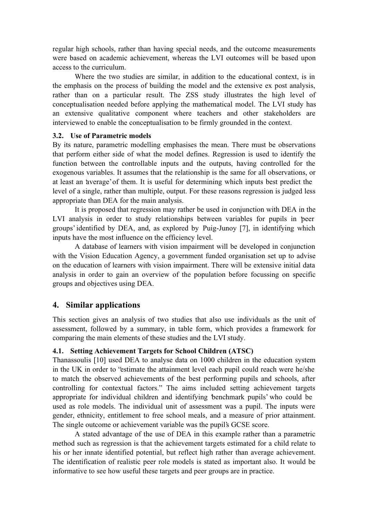regular high schools, rather than having special needs, and the outcome measurements were based on academic achievement, whereas the LVI outcomes will be based upon access to the curriculum.

Where the two studies are similar, in addition to the educational context, is in the emphasis on the process of building the model and the extensive ex post analysis, rather than on a particular result. The ZSS study illustrates the high level of conceptualisation needed before applying the mathematical model. The LVI study has an extensive qualitative component where teachers and other stakeholders are interviewed to enable the conceptualisation to be firmly grounded in the context.

#### 3.2. Use of Parametric models

By its nature, parametric modelling emphasises the mean. There must be observations that perform either side of what the model defines. Regression is used to identify the function between the controllable inputs and the outputs, having controlled for the exogenous variables. It assumes that the relationship is the same for all observations, or at least an 'average' of them. It is useful for determining which inputs best predict the level of a single, rather than multiple, output. For these reasons regression is judged less appropriate than DEA for the main analysis.

It is proposed that regression may rather be used in conjunction with DEA in the LVI analysis in order to study relationships between variables for pupils in 'peer groups' identified by DEA, and, as explored by Puig-Junoy [7], in identifying which inputs have the most influence on the efficiency level.

A database of learners with vision impairment will be developed in conjunction with the Vision Education Agency, a government funded organisation set up to advise on the education of learners with vision impairment. There will be extensive initial data analysis in order to gain an overview of the population before focussing on specific groups and objectives using DEA.

# 4. Similar applications

This section gives an analysis of two studies that also use individuals as the unit of assessment, followed by a summary, in table form, which provides a framework for comparing the main elements of these studies and the LVI study.

# 4.1. Setting Achievement Targets for School Children (ATSC)

Thanassoulis [10] used DEA to analyse data on 1000 children in the education system in the UK in order to "estimate the attainment level each pupil could reach were he/she to match the observed achievements of the best performing pupils and schools, after controlling for contextual factors." The aims included setting achievement targets appropriate for individual children and identifying 'benchmark pupils' who could be used as role models. The individual unit of assessment was a pupil. The inputs were gender, ethnicity, entitlement to free school meals, and a measure of prior attainment. The single outcome or achievement variable was the pupil's GCSE score.

A stated advantage of the use of DEA in this example rather than a parametric method such as regression is that the achievement targets estimated for a child relate to his or her innate identified potential, but reflect high rather than average achievement. The identification of realistic peer role models is stated as important also. It would be informative to see how useful these targets and peer groups are in practice.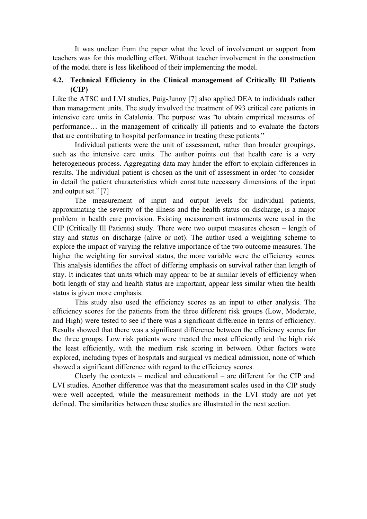It was unclear from the paper what the level of involvement or support from teachers was for this modelling effort. Without teacher involvement in the construction of the model there is less likelihood of their implementing the model.

# 4.2. Technical Efficiency in the Clinical management of Critically Ill Patients (CIP)

Like the ATSC and LVI studies, Puig-Junoy [7] also applied DEA to individuals rather than management units. The study involved the treatment of 993 critical care patients in intensive care units in Catalonia. The purpose was "to obtain empirical measures of performance… in the management of critically ill patients and to evaluate the factors that are contributing to hospital performance in treating these patients."

Individual patients were the unit of assessment, rather than broader groupings, such as the intensive care units. The author points out that health care is a very heterogeneous process. Aggregating data may hinder the effort to explain differences in results. The individual patient is chosen as the unit of assessment in order "to consider in detail the patient characteristics which constitute necessary dimensions of the input and output set." [7]

The measurement of input and output levels for individual patients, approximating the severity of the illness and the health status on discharge, is a major problem in health care provision. Existing measurement instruments were used in the CIP (Critically Ill Patients) study. There were two output measures chosen – length of stay and status on discharge (alive or not). The author used a weighting scheme to explore the impact of varying the relative importance of the two outcome measures. The higher the weighting for survival status, the more variable were the efficiency scores. This analysis identifies the effect of differing emphasis on survival rather than length of stay. It indicates that units which may appear to be at similar levels of efficiency when both length of stay and health status are important, appear less similar when the health status is given more emphasis.

This study also used the efficiency scores as an input to other analysis. The efficiency scores for the patients from the three different risk groups (Low, Moderate, and High) were tested to see if there was a significant difference in terms of efficiency. Results showed that there was a significant difference between the efficiency scores for the three groups. Low risk patients were treated the most efficiently and the high risk the least efficiently, with the medium risk scoring in between. Other factors were explored, including types of hospitals and surgical vs medical admission, none of which showed a significant difference with regard to the efficiency scores.

Clearly the contexts – medical and educational – are different for the CIP and LVI studies. Another difference was that the measurement scales used in the CIP study were well accepted, while the measurement methods in the LVI study are not yet defined. The similarities between these studies are illustrated in the next section.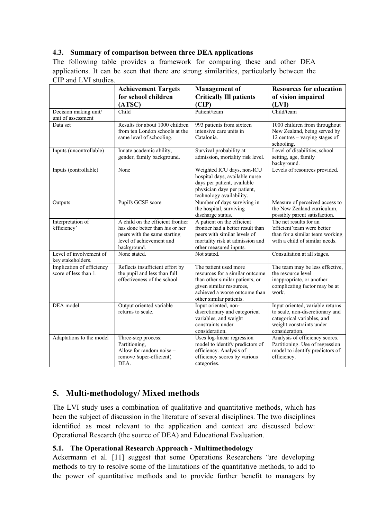# 4.3. Summary of comparison between three DEA applications

The following table provides a framework for comparing these and other DEA applications. It can be seen that there are strong similarities, particularly between the CIP and LVI studies.

|                                                    | <b>Achievement Targets</b>                                                                                                                      | <b>Management</b> of                                                                                                                                                                | <b>Resources for education</b>                                                                                                                  |
|----------------------------------------------------|-------------------------------------------------------------------------------------------------------------------------------------------------|-------------------------------------------------------------------------------------------------------------------------------------------------------------------------------------|-------------------------------------------------------------------------------------------------------------------------------------------------|
|                                                    | for school children                                                                                                                             | <b>Critically Ill patients</b>                                                                                                                                                      | of vision impaired                                                                                                                              |
|                                                    | (ATSC)                                                                                                                                          | (CIP)                                                                                                                                                                               | (LVI)                                                                                                                                           |
| Decision making unit/<br>unit of assessment        | Child                                                                                                                                           | Patient/team                                                                                                                                                                        | Child/team                                                                                                                                      |
| Data set                                           | Results for about 1000 children                                                                                                                 | 993 patients from sixteen                                                                                                                                                           | 1000 children from throughout                                                                                                                   |
|                                                    | from ten London schools at the<br>same level of schooling.                                                                                      | intensive care units in<br>Catalonia.                                                                                                                                               | New Zealand, being served by<br>12 centres – varying stages of<br>schooling.                                                                    |
| Inputs (uncontrollable)                            | Innate academic ability,<br>gender, family background.                                                                                          | Survival probability at<br>admission, mortality risk level.                                                                                                                         | Level of disabilities, school<br>setting, age, family<br>background.                                                                            |
| Inputs (controllable)                              | None                                                                                                                                            | Weighted ICU days, non-ICU<br>hospital days, available nurse<br>days per patient, available<br>physician days per patient,<br>technology availability.                              | Levels of resources provided.                                                                                                                   |
| Outputs                                            | Pupil's GCSE score                                                                                                                              | Number of days surviving in<br>the hospital, surviving<br>discharge status.                                                                                                         | Measure of perceived access to<br>the New Zealand curriculum,<br>possibly parent satisfaction.                                                  |
| Interpretation of<br>efficiency'                   | A child on the efficient frontier<br>has done better than his or her<br>peers with the same starting<br>level of achievement and<br>background. | A patient on the efficient<br>frontier had a better result than<br>peers with similar levels of<br>mortality risk at admission and<br>other measured inputs.                        | The net results for an<br>efficient'team were better<br>than for a similar team working<br>with a child of similar needs.                       |
| Level of involvement of<br>key stakeholders.       | None stated.                                                                                                                                    | Not stated.                                                                                                                                                                         | Consultation at all stages.                                                                                                                     |
| Implication of efficiency<br>score of less than 1. | Reflects insufficient effort by<br>the pupil and less than full<br>effectiveness of the school.                                                 | The patient used more<br>resources for a similar outcome<br>than other similar patients, or<br>given similar resources,<br>achieved a worse outcome than<br>other similar patients. | The team may be less effective,<br>the resource level<br>inappropriate, or another<br>complicating factor may be at<br>work.                    |
| DEA model                                          | Output oriented variable<br>returns to scale.                                                                                                   | Input oriented, non-<br>discretionary and categorical<br>variables, and weight<br>constraints under<br>consideration.                                                               | Input oriented, variable returns<br>to scale, non-discretionary and<br>categorical variables, and<br>weight constraints under<br>consideration. |
| Adaptations to the model                           | Three-step process:<br>Partitioning,<br>Allow for random noise -<br>remove super-efficient',<br>DEA.                                            | Uses log-linear regression<br>model to identify predictors of<br>efficiency. Analysis of<br>efficiency scores by various<br>categories.                                             | Analysis of efficiency scores.<br>Partitioning. Use of regression<br>model to identify predictors of<br>efficiency.                             |

# 5. Multi-methodology/ Mixed methods

The LVI study uses a combination of qualitative and quantitative methods, which has been the subject of discussion in the literature of several disciplines. The two disciplines identified as most relevant to the application and context are discussed below: Operational Research (the source of DEA) and Educational Evaluation.

# 5.1. The Operational Research Approach - Multimethodology

Ackermann et al. [11] suggest that some Operations Researchers "are developing methods to try to resolve some of the limitations of the quantitative methods, to add to the power of quantitative methods and to provide further benefit to managers by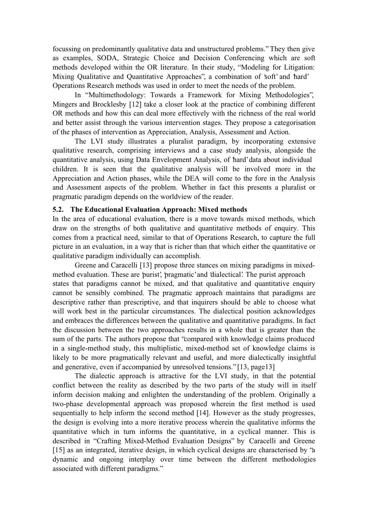focussing on predominantly qualitative data and unstructured problems." They then give as examples, SODA, Strategic Choice and Decision Conferencing which are soft methods developed within the OR literature. In their study, "Modeling for Litigation: Mixing Qualitative and Quantitative Approaches", a combination of 'soft' and 'hard' Operations Research methods was used in order to meet the needs of the problem.

In "Multimethodology: Towards a Framework for Mixing Methodologies", Mingers and Brocklesby [12] take a closer look at the practice of combining different OR methods and how this can deal more effectively with the richness of the real world and better assist through the various intervention stages. They propose a categorisation of the phases of intervention as Appreciation, Analysis, Assessment and Action.

The LVI study illustrates a pluralist paradigm, by incorporating extensive qualitative research, comprising interviews and a case study analysis, alongside the quantitative analysis, using Data Envelopment Analysis, of 'hard' data about individual children. It is seen that the qualitative analysis will be involved more in the Appreciation and Action phases, while the DEA will come to the fore in the Analysis and Assessment aspects of the problem. Whether in fact this presents a pluralist or pragmatic paradigm depends on the worldview of the reader.

#### 5.2. The Educational Evaluation Approach: Mixed methods

In the area of educational evaluation, there is a move towards mixed methods, which draw on the strengths of both qualitative and quantitative methods of enquiry. This comes from a practical need, similar to that of Operations Research, to capture the full picture in an evaluation, in a way that is richer than that which either the quantitative or qualitative paradigm individually can accomplish.

Greene and Caracelli [13] propose three stances on mixing paradigms in mixedmethod evaluation. These are 'purist', 'pragmatic' and 'dialectical'. The purist approach states that paradigms cannot be mixed, and that qualitative and quantitative enquiry cannot be sensibly combined. The pragmatic approach maintains that paradigms are descriptive rather than prescriptive, and that inquirers should be able to choose what will work best in the particular circumstances. The dialectical position acknowledges and embraces the differences between the qualitative and quantitative paradigms. In fact the discussion between the two approaches results in a whole that is greater than the sum of the parts. The authors propose that "compared with knowledge claims produced in a single-method study, this multiplistic, mixed-method set of knowledge claims is likely to be more pragmatically relevant and useful, and more dialectically insightful and generative, even if accompanied by unresolved tensions." [13, page13]

The dialectic approach is attractive for the LVI study, in that the potential conflict between the reality as described by the two parts of the study will in itself inform decision making and enlighten the understanding of the problem. Originally a two-phase developmental approach was proposed wherein the first method is used sequentially to help inform the second method [14]. However as the study progresses, the design is evolving into a more iterative process wherein the qualitative informs the quantitative which in turn informs the quantitative, in a cyclical manner. This is described in "Crafting Mixed-Method Evaluation Designs" by Caracelli and Greene [15] as an integrated, iterative design, in which cyclical designs are characterised by "a dynamic and ongoing interplay over time between the different methodologies associated with different paradigms."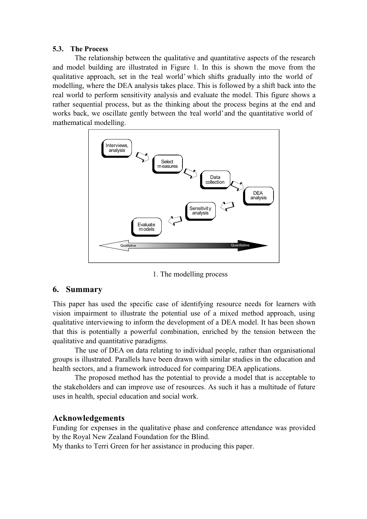#### 5.3. The Process

The relationship between the qualitative and quantitative aspects of the research and model building are illustrated in Figure 1. In this is shown the move from the qualitative approach, set in the 'real world' which shifts gradually into the world of modelling, where the DEA analysis takes place. This is followed by a shift back into the real world to perform sensitivity analysis and evaluate the model. This figure shows a rather sequential process, but as the thinking about the process begins at the end and works back, we oscillate gently between the 'real world' and the quantitative world of mathematical modelling.



1. The modelling process

# 6. Summary

This paper has used the specific case of identifying resource needs for learners with vision impairment to illustrate the potential use of a mixed method approach, using qualitative interviewing to inform the development of a DEA model. It has been shown that this is potentially a powerful combination, enriched by the tension between the qualitative and quantitative paradigms.

The use of DEA on data relating to individual people, rather than organisational groups is illustrated. Parallels have been drawn with similar studies in the education and health sectors, and a framework introduced for comparing DEA applications.

The proposed method has the potential to provide a model that is acceptable to the stakeholders and can improve use of resources. As such it has a multitude of future uses in health, special education and social work.

# Acknowledgements

Funding for expenses in the qualitative phase and conference attendance was provided by the Royal New Zealand Foundation for the Blind.

My thanks to Terri Green for her assistance in producing this paper.